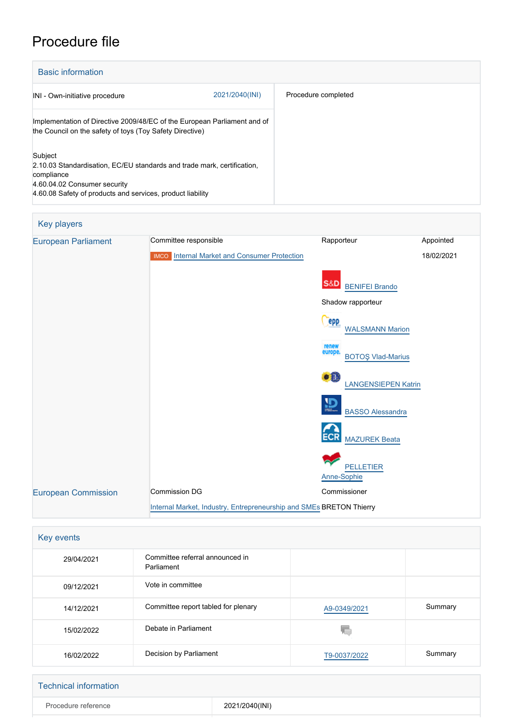# Procedure file

| <b>Basic information</b>                                                                                                                                                                       |                |                     |  |
|------------------------------------------------------------------------------------------------------------------------------------------------------------------------------------------------|----------------|---------------------|--|
| INI - Own-initiative procedure                                                                                                                                                                 | 2021/2040(INI) | Procedure completed |  |
| Implementation of Directive 2009/48/EC of the European Parliament and of<br>the Council on the safety of toys (Toy Safety Directive)                                                           |                |                     |  |
| Subject<br>2.10.03 Standardisation, EC/EU standards and trade mark, certification,<br>compliance<br>4.60.04.02 Consumer security<br>4.60.08 Safety of products and services, product liability |                |                     |  |

| <b>Key players</b>         |                                                                     |                                              |            |
|----------------------------|---------------------------------------------------------------------|----------------------------------------------|------------|
| <b>European Parliament</b> | Committee responsible                                               | Rapporteur                                   | Appointed  |
|                            | <b>IMCO</b> Internal Market and Consumer Protection                 |                                              | 18/02/2021 |
|                            |                                                                     |                                              |            |
|                            |                                                                     | <b>S&amp;D</b> BENIFEL Brando                |            |
|                            | Shadow rapporteur                                                   |                                              |            |
|                            |                                                                     | epp<br><b>WALSMANN Marion</b>                |            |
|                            |                                                                     | renew<br>europe.<br><b>BOTOŞ Vlad-Marius</b> |            |
|                            |                                                                     | ●粗<br><b>LANGENSIEPEN Katrin</b>             |            |
|                            |                                                                     | ₽<br><b>BASSO Alessandra</b>                 |            |
|                            |                                                                     | <b>ECR</b><br><b>MAZUREK Beata</b>           |            |
|                            |                                                                     | <b>PELLETIER</b><br>Anne-Sophie              |            |
| <b>European Commission</b> | <b>Commission DG</b>                                                | Commissioner                                 |            |
|                            | Internal Market, Industry, Entrepreneurship and SMEs BRETON Thierry |                                              |            |

| Key events |                                               |              |         |
|------------|-----------------------------------------------|--------------|---------|
| 29/04/2021 | Committee referral announced in<br>Parliament |              |         |
| 09/12/2021 | Vote in committee                             |              |         |
| 14/12/2021 | Committee report tabled for plenary           | A9-0349/2021 | Summary |
| 15/02/2022 | Debate in Parliament                          | ΥC           |         |
| 16/02/2022 | Decision by Parliament                        | T9-0037/2022 | Summary |

| Technical information |                |
|-----------------------|----------------|
| Procedure reference   | 2021/2040(INI) |
|                       |                |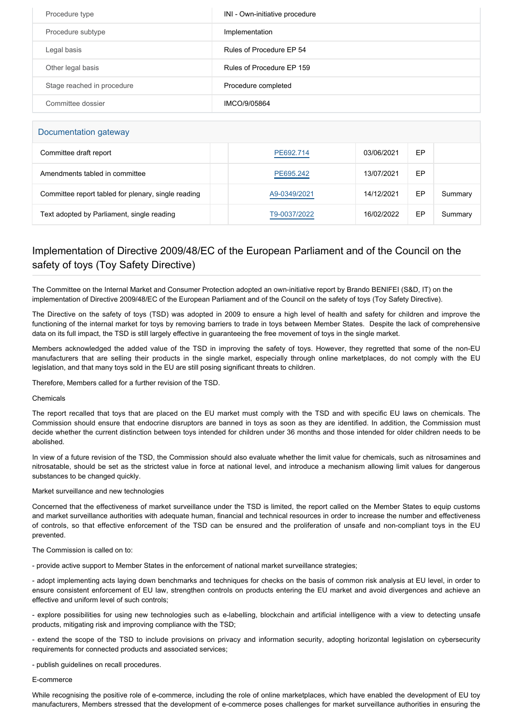| Procedure type             | INI - Own-initiative procedure |
|----------------------------|--------------------------------|
| Procedure subtype          | Implementation                 |
| Legal basis                | Rules of Procedure EP 54       |
| Other legal basis          | Rules of Procedure EP 159      |
| Stage reached in procedure | Procedure completed            |
| Committee dossier          | IMCO/9/05864                   |

# Documentation gateway

| Committee draft report                              | PE692.714    | 03/06/2021 | EP |         |
|-----------------------------------------------------|--------------|------------|----|---------|
| Amendments tabled in committee                      | PE695.242    | 13/07/2021 | EP |         |
| Committee report tabled for plenary, single reading | A9-0349/2021 | 14/12/2021 | EP | Summary |
| Text adopted by Parliament, single reading          | T9-0037/2022 | 16/02/2022 | EP | Summary |

# Implementation of Directive 2009/48/EC of the European Parliament and of the Council on the safety of toys (Toy Safety Directive)

The Committee on the Internal Market and Consumer Protection adopted an own-initiative report by Brando BENIFEI (S&D, IT) on the implementation of Directive 2009/48/EC of the European Parliament and of the Council on the safety of toys (Toy Safety Directive).

The Directive on the safety of toys (TSD) was adopted in 2009 to ensure a high level of health and safety for children and improve the functioning of the internal market for toys by removing barriers to trade in toys between Member States. Despite the lack of comprehensive data on its full impact, the TSD is still largely effective in guaranteeing the free movement of toys in the single market.

Members acknowledged the added value of the TSD in improving the safety of toys. However, they regretted that some of the non-EU manufacturers that are selling their products in the single market, especially through online marketplaces, do not comply with the EU legislation, and that many toys sold in the EU are still posing significant threats to children.

Therefore, Members called for a further revision of the TSD.

# Chemicals

The report recalled that toys that are placed on the EU market must comply with the TSD and with specific EU laws on chemicals. The Commission should ensure that endocrine disruptors are banned in toys as soon as they are identified. In addition, the Commission must decide whether the current distinction between toys intended for children under 36 months and those intended for older children needs to be abolished.

In view of a future revision of the TSD, the Commission should also evaluate whether the limit value for chemicals, such as nitrosamines and nitrosatable, should be set as the strictest value in force at national level, and introduce a mechanism allowing limit values for dangerous substances to be changed quickly.

# Market surveillance and new technologies

Concerned that the effectiveness of market surveillance under the TSD is limited, the report called on the Member States to equip customs and market surveillance authorities with adequate human, financial and technical resources in order to increase the number and effectiveness of controls, so that effective enforcement of the TSD can be ensured and the proliferation of unsafe and non-compliant toys in the EU prevented.

The Commission is called on to:

- provide active support to Member States in the enforcement of national market surveillance strategies;

- adopt implementing acts laying down benchmarks and techniques for checks on the basis of common risk analysis at EU level, in order to ensure consistent enforcement of EU law, strengthen controls on products entering the EU market and avoid divergences and achieve an effective and uniform level of such controls;

- explore possibilities for using new technologies such as e-labelling, blockchain and artificial intelligence with a view to detecting unsafe products, mitigating risk and improving compliance with the TSD;

- extend the scope of the TSD to include provisions on privacy and information security, adopting horizontal legislation on cybersecurity requirements for connected products and associated services;

- publish guidelines on recall procedures.

# E-commerce

While recognising the positive role of e-commerce, including the role of online marketplaces, which have enabled the development of EU toy manufacturers, Members stressed that the development of e-commerce poses challenges for market surveillance authorities in ensuring the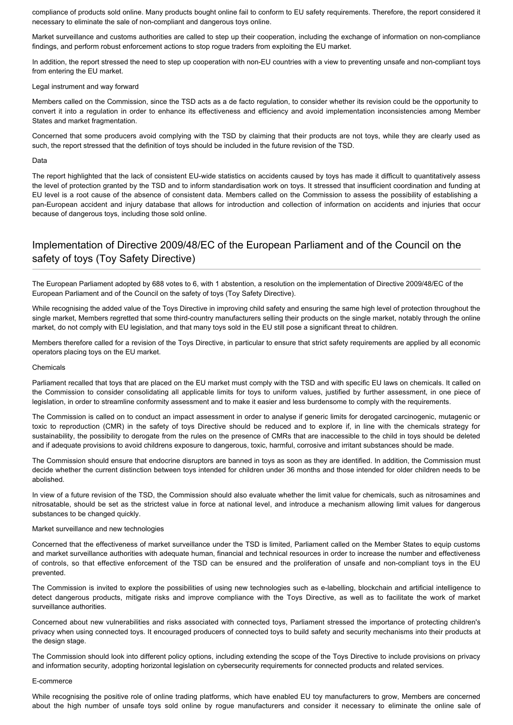compliance of products sold online. Many products bought online fail to conform to EU safety requirements. Therefore, the report considered it necessary to eliminate the sale of non-compliant and dangerous toys online.

Market surveillance and customs authorities are called to step up their cooperation, including the exchange of information on non-compliance findings, and perform robust enforcement actions to stop rogue traders from exploiting the EU market.

In addition, the report stressed the need to step up cooperation with non-EU countries with a view to preventing unsafe and non-compliant toys from entering the EU market.

# Legal instrument and way forward

Members called on the Commission, since the TSD acts as a de facto regulation, to consider whether its revision could be the opportunity to convert it into a regulation in order to enhance its effectiveness and efficiency and avoid implementation inconsistencies among Member States and market fragmentation.

Concerned that some producers avoid complying with the TSD by claiming that their products are not toys, while they are clearly used as such, the report stressed that the definition of toys should be included in the future revision of the TSD.

#### Data

The report highlighted that the lack of consistent EU-wide statistics on accidents caused by toys has made it difficult to quantitatively assess the level of protection granted by the TSD and to inform standardisation work on toys. It stressed that insufficient coordination and funding at EU level is a root cause of the absence of consistent data. Members called on the Commission to assess the possibility of establishing a pan-European accident and injury database that allows for introduction and collection of information on accidents and injuries that occur because of dangerous toys, including those sold online.

# Implementation of Directive 2009/48/EC of the European Parliament and of the Council on the safety of toys (Toy Safety Directive)

The European Parliament adopted by 688 votes to 6, with 1 abstention, a resolution on the implementation of Directive 2009/48/EC of the European Parliament and of the Council on the safety of toys (Toy Safety Directive).

While recognising the added value of the Toys Directive in improving child safety and ensuring the same high level of protection throughout the single market, Members regretted that some third-country manufacturers selling their products on the single market, notably through the online market, do not comply with EU legislation, and that many toys sold in the EU still pose a significant threat to children.

Members therefore called for a revision of the Toys Directive, in particular to ensure that strict safety requirements are applied by all economic operators placing toys on the EU market.

#### Chemicals

Parliament recalled that toys that are placed on the EU market must comply with the TSD and with specific EU laws on chemicals. It called on the Commission to consider consolidating all applicable limits for toys to uniform values, justified by further assessment, in one piece of legislation, in order to streamline conformity assessment and to make it easier and less burdensome to comply with the requirements.

The Commission is called on to conduct an impact assessment in order to analyse if generic limits for derogated carcinogenic, mutagenic or toxic to reproduction (CMR) in the safety of toys Directive should be reduced and to explore if, in line with the chemicals strategy for sustainability, the possibility to derogate from the rules on the presence of CMRs that are inaccessible to the child in toys should be deleted and if adequate provisions to avoid childrens exposure to dangerous, toxic, harmful, corrosive and irritant substances should be made.

The Commission should ensure that endocrine disruptors are banned in toys as soon as they are identified. In addition, the Commission must decide whether the current distinction between toys intended for children under 36 months and those intended for older children needs to be abolished.

In view of a future revision of the TSD, the Commission should also evaluate whether the limit value for chemicals, such as nitrosamines and nitrosatable, should be set as the strictest value in force at national level, and introduce a mechanism allowing limit values for dangerous substances to be changed quickly.

#### Market surveillance and new technologies

Concerned that the effectiveness of market surveillance under the TSD is limited, Parliament called on the Member States to equip customs and market surveillance authorities with adequate human, financial and technical resources in order to increase the number and effectiveness of controls, so that effective enforcement of the TSD can be ensured and the proliferation of unsafe and non-compliant toys in the EU prevented.

The Commission is invited to explore the possibilities of using new technologies such as e-labelling, blockchain and artificial intelligence to detect dangerous products, mitigate risks and improve compliance with the Toys Directive, as well as to facilitate the work of market surveillance authorities.

Concerned about new vulnerabilities and risks associated with connected toys, Parliament stressed the importance of protecting children's privacy when using connected toys. It encouraged producers of connected toys to build safety and security mechanisms into their products at the design stage.

The Commission should look into different policy options, including extending the scope of the Toys Directive to include provisions on privacy and information security, adopting horizontal legislation on cybersecurity requirements for connected products and related services.

#### E-commerce

While recognising the positive role of online trading platforms, which have enabled EU toy manufacturers to grow, Members are concerned about the high number of unsafe toys sold online by rogue manufacturers and consider it necessary to eliminate the online sale of